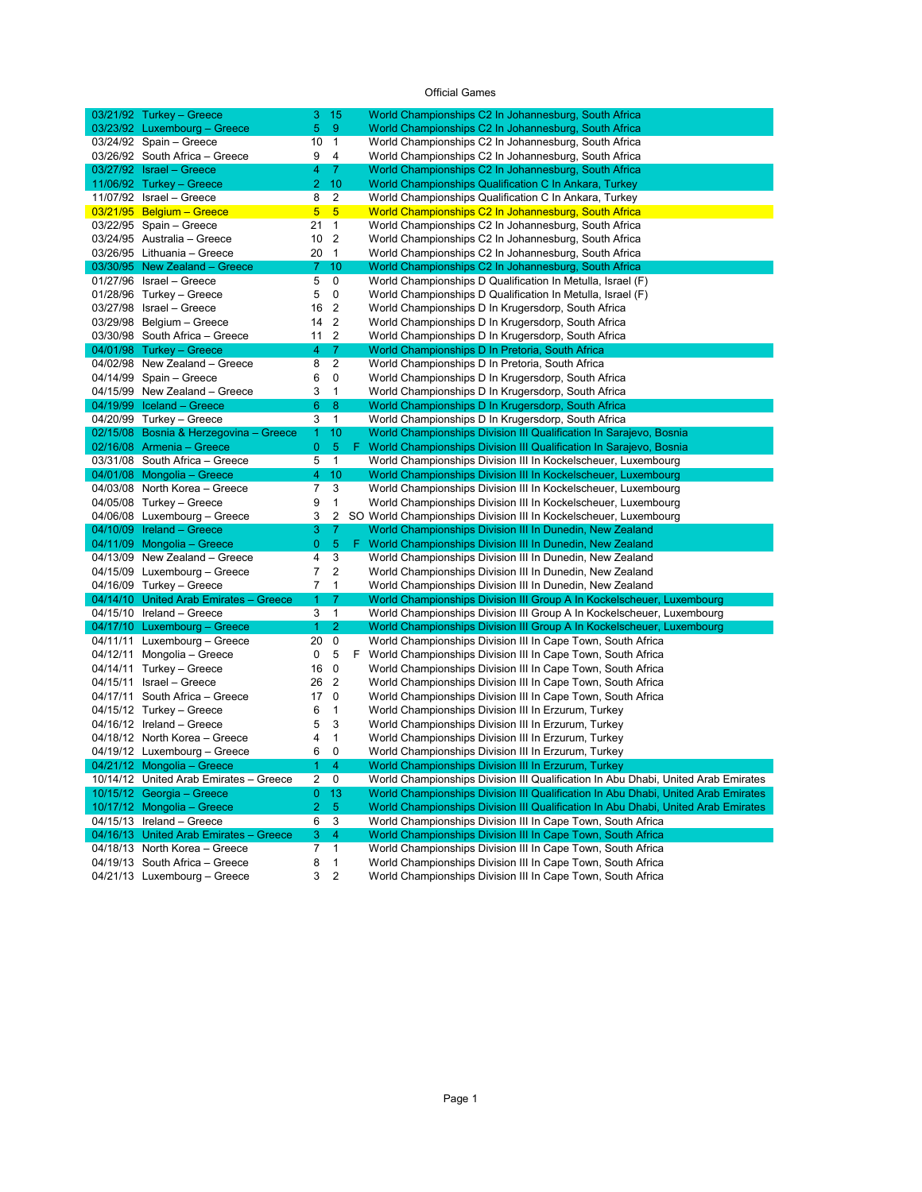Official Games

|                                        |                | 15             |   |                                                                                   |
|----------------------------------------|----------------|----------------|---|-----------------------------------------------------------------------------------|
| 03/21/92 Turkey - Greece               | 3              | 9              |   | World Championships C2 In Johannesburg, South Africa                              |
| 03/23/92 Luxembourg - Greece           | 5              |                |   | World Championships C2 In Johannesburg, South Africa                              |
| 03/24/92 Spain - Greece                | 10             | $\mathbf{1}$   |   | World Championships C2 In Johannesburg, South Africa                              |
| 03/26/92 South Africa - Greece         | 9              | 4              |   | World Championships C2 In Johannesburg, South Africa                              |
| 03/27/92 Israel - Greece               | 4              | $\overline{7}$ |   | World Championships C2 In Johannesburg, South Africa                              |
| 11/06/92 Turkey - Greece               | $\overline{2}$ | 10             |   | World Championships Qualification C In Ankara, Turkey                             |
| 11/07/92 Israel - Greece               | 8              | $\overline{2}$ |   | World Championships Qualification C In Ankara, Turkey                             |
| 03/21/95 Belgium - Greece              | $\overline{5}$ | 5              |   | World Championships C2 In Johannesburg, South Africa                              |
| 03/22/95 Spain - Greece                | 21             | $\mathbf{1}$   |   | World Championships C2 In Johannesburg, South Africa                              |
| 03/24/95 Australia - Greece            | 10             | $\overline{2}$ |   | World Championships C2 In Johannesburg, South Africa                              |
| 03/26/95 Lithuania - Greece            | 20             | $\mathbf{1}$   |   | World Championships C2 In Johannesburg, South Africa                              |
| 03/30/95 New Zealand - Greece          | 7              | 10             |   | World Championships C2 In Johannesburg, South Africa                              |
| 01/27/96 Israel - Greece               | 5              | 0              |   | World Championships D Qualification In Metulla, Israel (F)                        |
| 01/28/96 Turkey - Greece               | 5              | 0              |   | World Championships D Qualification In Metulla, Israel (F)                        |
| 03/27/98 Israel - Greece               | 16             | $\overline{2}$ |   | World Championships D In Krugersdorp, South Africa                                |
| 03/29/98 Belgium - Greece              | 14             | 2              |   | World Championships D In Krugersdorp, South Africa                                |
| 03/30/98 South Africa - Greece         | 11             | $\overline{2}$ |   | World Championships D In Krugersdorp, South Africa                                |
| 04/01/98 Turkey - Greece               | 4              | 7              |   | World Championships D In Pretoria, South Africa                                   |
| 04/02/98 New Zealand - Greece          | 8              | $\overline{2}$ |   | World Championships D In Pretoria, South Africa                                   |
|                                        |                | 0              |   |                                                                                   |
| 04/14/99 Spain - Greece                | 6              | $\mathbf{1}$   |   | World Championships D In Krugersdorp, South Africa                                |
| 04/15/99 New Zealand - Greece          | 3              |                |   | World Championships D In Krugersdorp, South Africa                                |
| 04/19/99 Iceland - Greece              | 6              | 8              |   | World Championships D In Krugersdorp, South Africa                                |
| 04/20/99 Turkey - Greece               | 3              | 1              |   | World Championships D In Krugersdorp, South Africa                                |
| 02/15/08 Bosnia & Herzegovina - Greece | 1.             | 10             |   | World Championships Division III Qualification In Sarajevo, Bosnia                |
| 02/16/08 Armenia - Greece              | $\overline{0}$ | 5              | F | World Championships Division III Qualification In Sarajevo, Bosnia                |
| 03/31/08 South Africa - Greece         | 5              | $\mathbf{1}$   |   | World Championships Division III In Kockelscheuer, Luxembourg                     |
| 04/01/08 Mongolia - Greece             | 4              | 10             |   | World Championships Division III In Kockelscheuer, Luxembourg                     |
| 04/03/08 North Korea - Greece          | 7              | 3              |   | World Championships Division III In Kockelscheuer, Luxembourg                     |
| 04/05/08 Turkey - Greece               | 9              | $\mathbf{1}$   |   | World Championships Division III In Kockelscheuer, Luxembourg                     |
| 04/06/08 Luxembourg - Greece           | 3              | 2              |   | SO World Championships Division III In Kockelscheuer, Luxembourg                  |
| 04/10/09 Ireland - Greece              | 3              | 7              |   | World Championships Division III In Dunedin, New Zealand                          |
| 04/11/09 Mongolia - Greece             | 0              | 5              | F | World Championships Division III In Dunedin, New Zealand                          |
| 04/13/09 New Zealand - Greece          | 4              | 3              |   | World Championships Division III In Dunedin, New Zealand                          |
| 04/15/09 Luxembourg - Greece           | 7              | $\overline{2}$ |   | World Championships Division III In Dunedin, New Zealand                          |
| 04/16/09 Turkey - Greece               | $\overline{7}$ | $\mathbf{1}$   |   | World Championships Division III In Dunedin, New Zealand                          |
| 04/14/10 United Arab Emirates - Greece | 1              | $\overline{7}$ |   | World Championships Division III Group A In Kockelscheuer, Luxembourg             |
| 04/15/10 Ireland - Greece              | 3              | 1              |   | World Championships Division III Group A In Kockelscheuer, Luxembourg             |
| 04/17/10 Luxembourg - Greece           | 1              | $\overline{2}$ |   | World Championships Division III Group A In Kockelscheuer, Luxembourg             |
|                                        | 20             | $\pmb{0}$      |   |                                                                                   |
| 04/11/11 Luxembourg - Greece           |                |                |   | World Championships Division III In Cape Town, South Africa                       |
| 04/12/11 Mongolia - Greece             | 0              | 5              | F | World Championships Division III In Cape Town, South Africa                       |
| 04/14/11 Turkey - Greece               | 16             | 0              |   | World Championships Division III In Cape Town, South Africa                       |
| 04/15/11 Israel - Greece               | 26             | $\overline{2}$ |   | World Championships Division III In Cape Town, South Africa                       |
| 04/17/11 South Africa - Greece         | 17             | $\mathbf 0$    |   | World Championships Division III In Cape Town, South Africa                       |
| 04/15/12 Turkey - Greece               | 6              | $\mathbf{1}$   |   | World Championships Division III In Erzurum, Turkey                               |
| 04/16/12 Ireland - Greece              | 5              | 3              |   | World Championships Division III In Erzurum, Turkey                               |
| 04/18/12 North Korea - Greece          | 4              | $\mathbf{1}$   |   | World Championships Division III In Erzurum, Turkey                               |
| 04/19/12 Luxembourg - Greece           | 6              | 0              |   | World Championships Division III In Erzurum, Turkey                               |
| 04/21/12 Mongolia - Greece             | 1              | 4              |   | World Championships Division III In Erzurum, Turkey                               |
| 10/14/12 United Arab Emirates - Greece | $\overline{2}$ | $\mathbf 0$    |   | World Championships Division III Qualification In Abu Dhabi, United Arab Emirates |
| 10/15/12 Georgia - Greece              | 0              | 13             |   | World Championships Division III Qualification In Abu Dhabi, United Arab Emirates |
| 10/17/12 Mongolia - Greece             | $\overline{2}$ | 5              |   | World Championships Division III Qualification In Abu Dhabi, United Arab Emirates |
| 04/15/13 Ireland - Greece              | 6              | 3              |   | World Championships Division III In Cape Town, South Africa                       |
| 04/16/13 United Arab Emirates - Greece | 3              | 4              |   | World Championships Division III In Cape Town, South Africa                       |
| 04/18/13 North Korea - Greece          | 7              | $\mathbf{1}$   |   | World Championships Division III In Cape Town, South Africa                       |
|                                        |                |                |   |                                                                                   |
| 04/19/13 South Africa - Greece         | 8              | $\mathbf{1}$   |   | World Championships Division III In Cape Town, South Africa                       |
| 04/21/13 Luxembourg - Greece           | 3              | $\overline{2}$ |   | World Championships Division III In Cape Town, South Africa                       |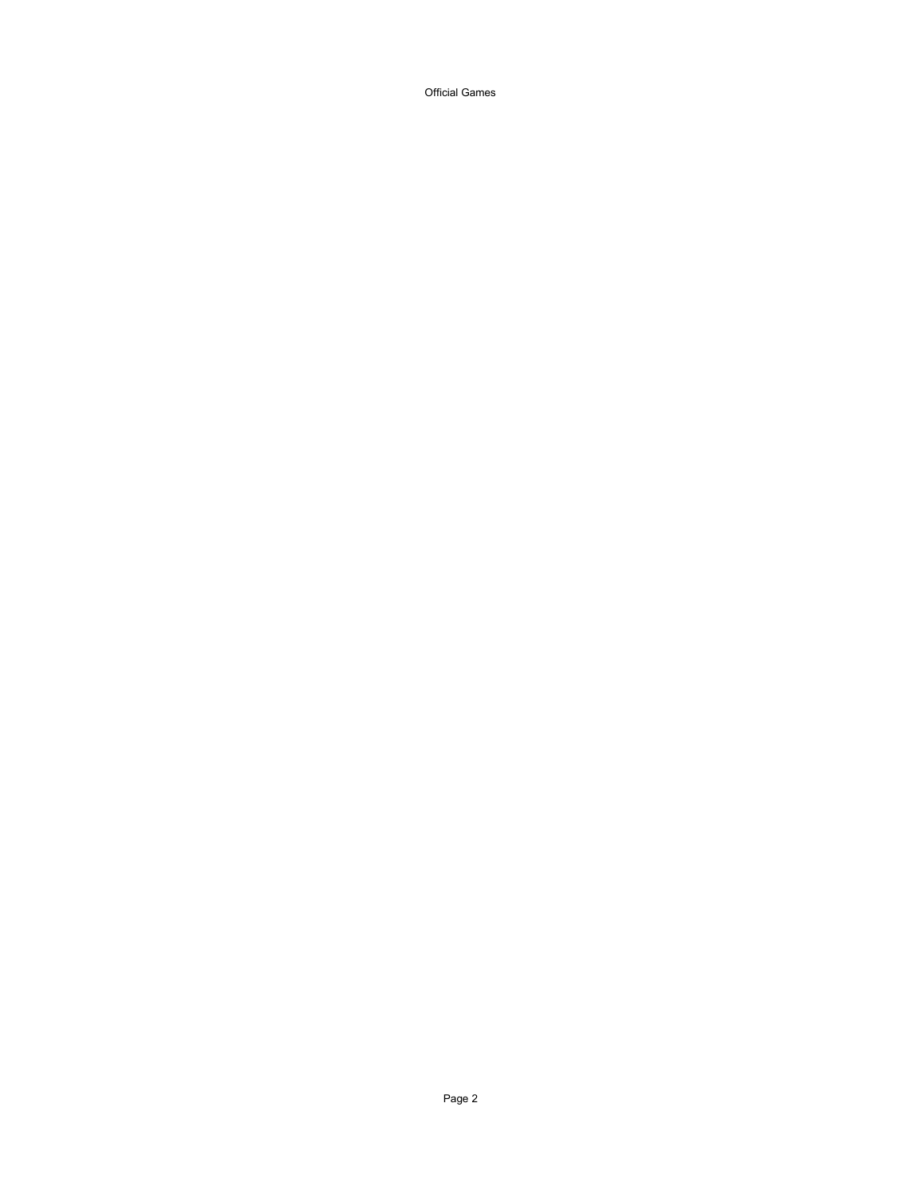Official Games